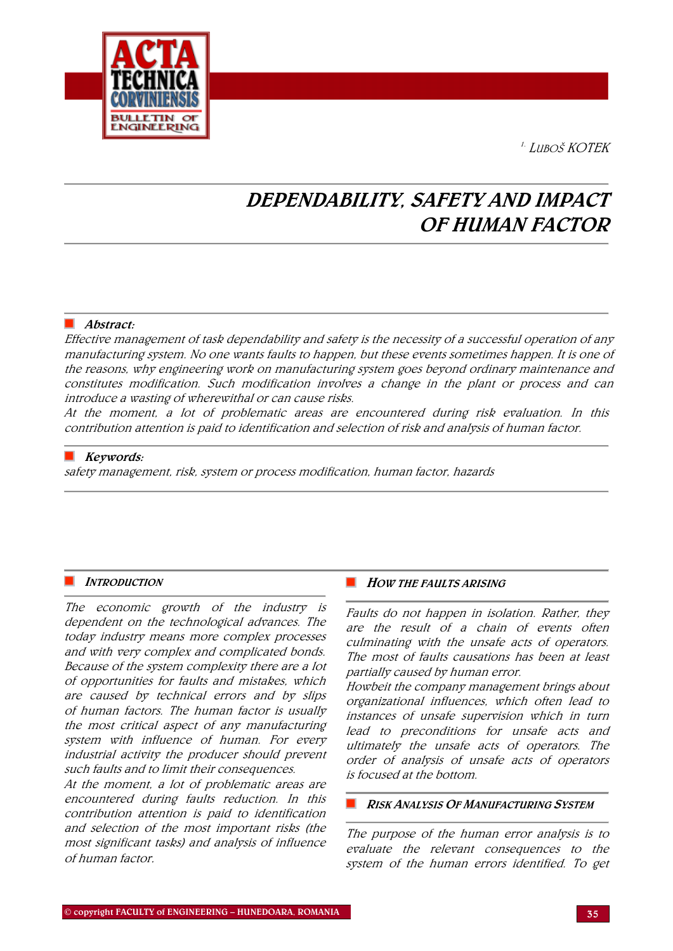1. LUBOŠ KOTEK



# DEPENDABILITY, SAFETY AND IMPACT OF HUMAN FACTOR

## Abstract:

Effective management of task dependability and safety is the necessity of a successful operation of any manufacturing system. No one wants faults to happen, but these events sometimes happen. It is one of the reasons, why engineering work on manufacturing system goes beyond ordinary maintenance and constitutes modification. Such modification involves a change in the plant or process and can introduce a wasting of wherewithal or can cause risks.

At the moment, a lot of problematic areas are encountered during risk evaluation. In this contribution attention is paid to identification and selection of risk and analysis of human factor.

## Keywords:

safety management, risk, system or process modification, human factor, hazards

## **INTRODUCTION**

The economic growth of the industry is dependent on the technological advances. The today industry means more complex processes and with very complex and complicated bonds. Because of the system complexity there are a lot of opportunities for faults and mistakes, which are caused by technical errors and by slips of human factors. The human factor is usually the most critical aspect of any manufacturing system with influence of human. For every industrial activity the producer should prevent such faults and to limit their consequences.

At the moment, a lot of problematic areas are encountered during faults reduction. In this contribution attention is paid to identification and selection of the most important risks (the most significant tasks) and analysis of influence of human factor.

### **HOW THE FAULTS ARISING**

Faults do not happen in isolation. Rather, they are the result of a chain of events often culminating with the unsafe acts of operators. The most of faults causations has been at least partially caused by human error.

Howbeit the company management brings about organizational influences, which often lead to instances of unsafe supervision which in turn lead to preconditions for unsafe acts and ultimately the unsafe acts of operators. The order of analysis of unsafe acts of operators is focused at the bottom.

### **RISK ANALYSIS OF MANUFACTURING SYSTEM**

The purpose of the human error analysis is to evaluate the relevant consequences to the system of the human errors identified. To get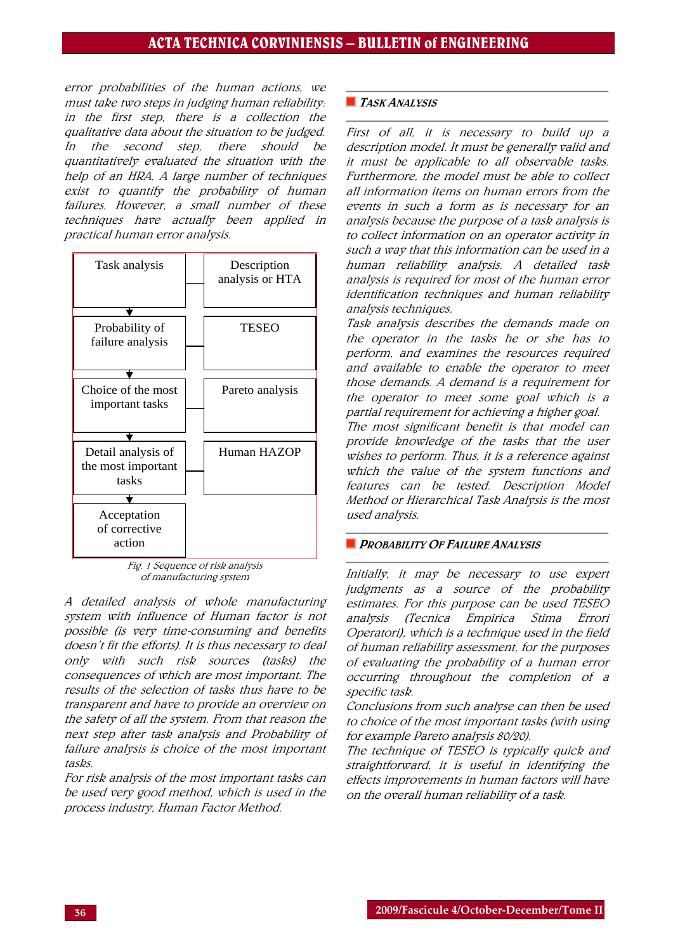## ACTA TECHNICA CORVINIENSIS – BULLETIN of ENGINEERING

error probabilities of the human actions, we must take two steps in judging human reliability: in the first step, there is a collection the qualitative data about the situation to be judged. In the second step, there should be quantitatively evaluated the situation with the help of an HRA. A large number of techniques exist to quantify the probability of human failures. However, a small number of these techniques have actually been applied in practical human error analysis.



Fig. 1 Sequence of risk analysis of manufacturing system

A detailed analysis of whole manufacturing system with influence of Human factor is not possible (is very time-consuming and benefits doesn't fit the efforts). It is thus necessary to deal only with such risk sources (tasks) the consequences of which are most important. The results of the selection of tasks thus have to be transparent and have to provide an overview on the safety of all the system. From that reason the next step after task analysis and Probability of failure analysis is choice of the most important tasks.

For risk analysis of the most important tasks can be used very good method, which is used in the process industry, Human Factor Method.

## **TASK ANALYSIS**

First of all, it is necessary to build up a description model. It must be generally valid and it must be applicable to all observable tasks. Furthermore, the model must be able to collect all information items on human errors from the events in such a form as is necessary for an analysis because the purpose of a task analysis is to collect information on an operator activity in such a way that this information can be used in a human reliability analysis. A detailed task analysis is required for most of the human error identification techniques and human reliability analysis techniques.

Task analysis describes the demands made on the operator in the tasks he or she has to perform, and examines the resources required and available to enable the operator to meet those demands. A demand is a requirement for the operator to meet some goal which is a partial requirement for achieving a higher goal. The most significant benefit is that model can provide knowledge of the tasks that the user wishes to perform. Thus, it is a reference against which the value of the system functions and features can be tested. Description Model Method or Hierarchical Task Analysis is the most used analysis.

## **PROBABILITY OF FAILURE ANALYSIS**

Initially, it may be necessary to use expert judgments as a source of the probability estimates. For this purpose can be used TESEO analysis (Tecnica Empirica Stima Errori Operatori), which is a technique used in the field of human reliability assessment, for the purposes of evaluating the probability of a human error occurring throughout the completion of a specific task.

Conclusions from such analyse can then be used to choice of the most important tasks (with using for example Pareto analysis 80/20).

The technique of TESEO is typically quick and straightforward, it is useful in identifying the effects improvements in human factors will have on the overall human reliability of a task.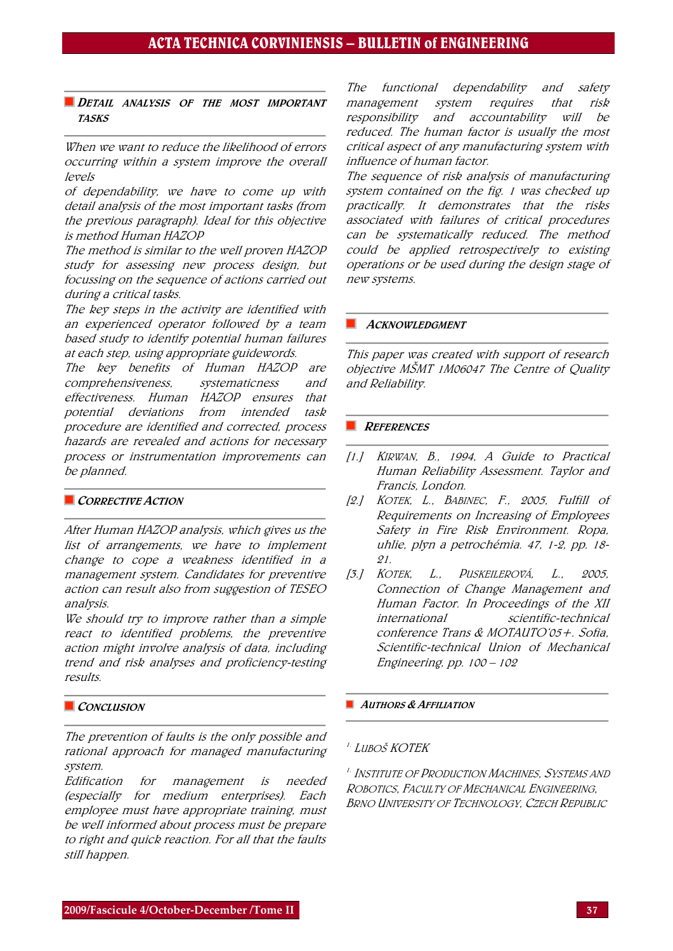## **DETAIL ANALYSIS OF THE MOST IMPORTANT** TASKS

When we want to reduce the likelihood of errors occurring within a system improve the overall levels

of dependability, we have to come up with detail analysis of the most important tasks (from the previous paragraph). Ideal for this objective is method Human HAZOP

The method is similar to the well proven HAZOP study for assessing new process design, but focussing on the sequence of actions carried out during a critical tasks.

The key steps in the activity are identified with an experienced operator followed by a team based study to identify potential human failures at each step, using appropriate guidewords.

The key benefits of Human HAZOP are comprehensiveness, systematicness and effectiveness. Human HAZOP ensures that potential deviations from intended task procedure are identified and corrected, process hazards are revealed and actions for necessary process or instrumentation improvements can be planned.

## CORRECTIVE ACTION

After Human HAZOP analysis, which gives us the list of arrangements, we have to implement change to cope a weakness identified in a management system. Candidates for preventive action can result also from suggestion of TESEO analysis.

We should try to improve rather than a simple react to identified problems, the preventive action might involve analysis of data, including trend and risk analyses and proficiency-testing results.

## CONCLUSION

The prevention of faults is the only possible and rational approach for managed manufacturing system.

Edification for management is needed (especially for medium enterprises). Each employee must have appropriate training, must be well informed about process must be prepare to right and quick reaction. For all that the faults still happen.

The functional dependability and safety management system requires that risk responsibility and accountability will be reduced. The human factor is usually the most critical aspect of any manufacturing system with influence of human factor.

The sequence of risk analysis of manufacturing system contained on the fig. 1 was checked up practically. It demonstrates that the risks associated with failures of critical procedures can be systematically reduced. The method could be applied retrospectively to existing operations or be used during the design stage of new systems.

### **ACKNOWLEDGMENT**

This paper was created with support of research objective MŠMT 1M06047 The Centre of Quality and Reliability.

## **REFERENCES**

- [1.] KIRWAN, B., 1994, A Guide to Practical Human Reliability Assessment. Taylor and Francis, London.
- [2.] KOTEK, L., BABINEC, F., 2005, Fulfill of Requirements on Increasing of Employees Safety in Fire Risk Environment. Ropa, uhlie, plyn a petrochémia. 47, 1-2, pp. 18- 21.
- [3.] KOTEK, L., PUSKEILEROVÁ, L., 2005, Connection of Change Management and Human Factor. In Proceedings of the XII international scientific-technical conference Trans & MOTAUTO'05+. Sofia, Scientific-technical Union of Mechanical Engineering, pp. 100 – 102

## **AUTHORS & AFFILIATION**

## <sup>1.</sup> Luboš KOTEK

1. INSTITUTE OF PRODUCTION MACHINES, SYSTEMS AND ROBOTICS, FACULTY OF MECHANICAL ENGINEERING, BRNO UNIVERSITY OF TECHNOLOGY, CZECH REPUBLIC